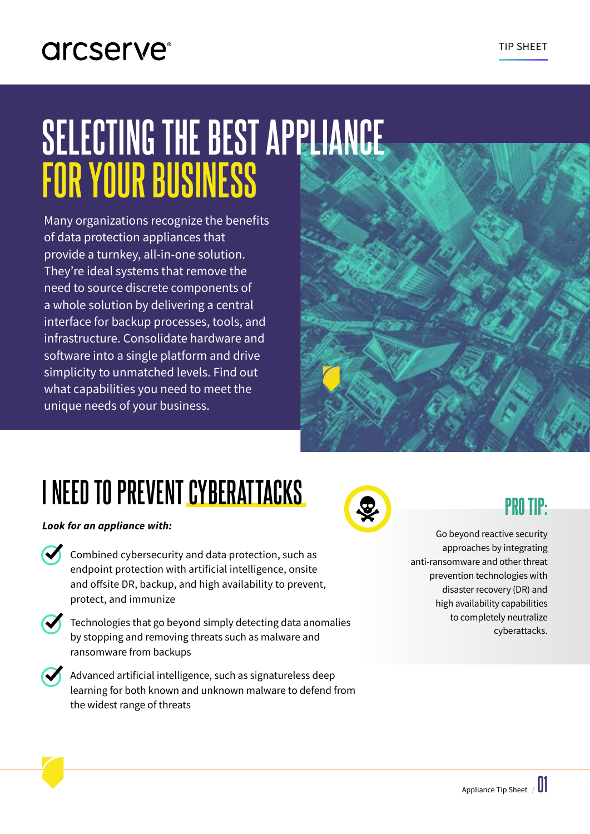### arcserve<sup>®</sup>

# **SELECTING THE BEST APPLIANCE FOR YOUR BUSINESS**

Many organizations recognize the benefits of data protection appliances that provide a turnkey, all-in-one solution. They're ideal systems that remove the need to source discrete components of a whole solution by delivering a central interface for backup processes, tools, and infrastructure. Consolidate hardware and software into a single platform and drive simplicity to unmatched levels. Find out what capabilities you need to meet the unique needs of your business.



## **I NEED TO PREVENT CYBERATTACKS**

*Look for an appliance with:*

- Combined cybersecurity and data protection, such as endpoint protection with artificial intelligence, onsite and offsite DR, backup, and high availability to prevent, protect, and immunize
- 
- Technologies that go beyond simply detecting data anomalies by stopping and removing threats such as malware and ransomware from backups
- Advanced artificial intelligence, such as signatureless deep learning for both known and unknown malware to defend from the widest range of threats



Go beyond reactive security approaches by integrating anti-ransomware and other threat prevention technologies with disaster recovery (DR) and high availability capabilities to completely neutralize cyberattacks.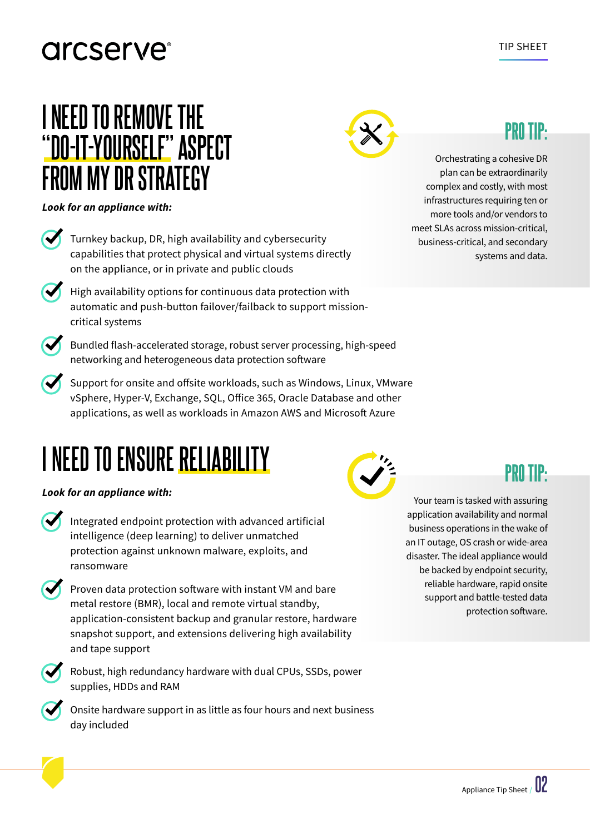### arcserve<sup>®</sup>

### **I NEED TO REMOVE THE "DO-IT-YOURSELF" ASPECT FROM MY DR STRATEGY**

*Look for an appliance with:*

- Turnkey backup, DR, high availability and cybersecurity capabilities that protect physical and virtual systems directly on the appliance, or in private and public clouds
	- High availability options for continuous data protection with automatic and push-button failover/failback to support missioncritical systems
	- Bundled flash-accelerated storage, robust server processing, high-speed networking and heterogeneous data protection software
- Support for onsite and offsite workloads, such as Windows, Linux, VMware vSphere, Hyper-V, Exchange, SQL, Office 365, Oracle Database and other applications, as well as workloads in Amazon AWS and Microsoft Azure

## **I NEED TO ENSURE RELIABILITY**

### *Look for an appliance with:*

- Integrated endpoint protection with advanced artificial intelligence (deep learning) to deliver unmatched protection against unknown malware, exploits, and ransomware
- Proven data protection software with instant VM and bare metal restore (BMR), local and remote virtual standby, application-consistent backup and granular restore, hardware snapshot support, and extensions delivering high availability and tape support
- Robust, high redundancy hardware with dual CPUs, SSDs, power supplies, HDDs and RAM
- Onsite hardware support in as little as four hours and next business day included



### PRO TIP:

Orchestrating a cohesive DR plan can be extraordinarily complex and costly, with most infrastructures requiring ten or more tools and/or vendors to meet SLAs across mission-critical, business-critical, and secondary systems and data.



Your team is tasked with assuring application availability and normal business operations in the wake of an IT outage, OS crash or wide-area disaster. The ideal appliance would be backed by endpoint security, reliable hardware, rapid onsite support and battle-tested data protection software.